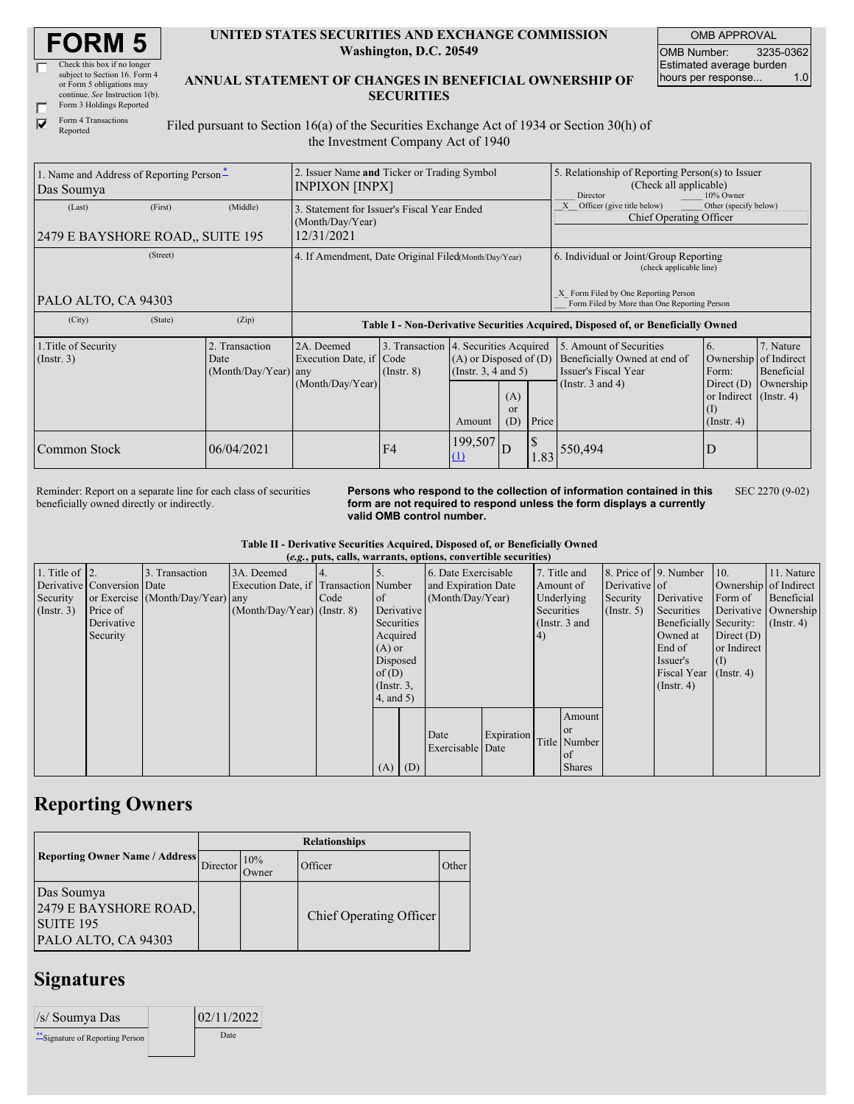| <b>FORM 5</b> |  |
|---------------|--|
|---------------|--|

| Check this box if no longer     |
|---------------------------------|
| subject to Section 16. Form 4   |
| or Form 5 obligations may       |
| continue. See Instruction 1(b). |
| Form 3 Holdings Reported        |

| UNITED STATES SECURITIES AND EXCHANGE COMMISSION |
|--------------------------------------------------|
| Washington, D.C. 20549                           |

OMB APPROVAL OMB Number: 3235-0362 Estimated average burden hours per response... 1.0

Form 4 Transactions  $\overline{\blacktriangledown}$ Reported

## **ANNUAL STATEMENT OF CHANGES IN BENEFICIAL OWNERSHIP OF SECURITIES**

Filed pursuant to Section 16(a) of the Securities Exchange Act of 1934 or Section 30(h) of the Investment Company Act of 1940

| 2. Issuer Name and Ticker or Trading Symbol<br>1. Name and Address of Reporting Person-<br>INPIXON [INPX]<br>Das Soumya |         |                                                |                                                                               |                 |                                                                                                                                | 5. Relationship of Reporting Person(s) to Issuer<br>(Check all applicable)<br>Director<br>10% Owner |                                   |                                                                                                                                  |                                                                                                                      |                                      |  |
|-------------------------------------------------------------------------------------------------------------------------|---------|------------------------------------------------|-------------------------------------------------------------------------------|-----------------|--------------------------------------------------------------------------------------------------------------------------------|-----------------------------------------------------------------------------------------------------|-----------------------------------|----------------------------------------------------------------------------------------------------------------------------------|----------------------------------------------------------------------------------------------------------------------|--------------------------------------|--|
| (Last)<br>2479 E BAYSHORE ROAD., SUITE 195                                                                              | (First) | (Middle)                                       | 3. Statement for Issuer's Fiscal Year Ended<br>(Month/Day/Year)<br>12/31/2021 |                 |                                                                                                                                |                                                                                                     |                                   | Officer (give title below)<br>Other (specify below)<br>X<br>Chief Operating Officer                                              |                                                                                                                      |                                      |  |
| (Street)<br>PALO ALTO, CA 94303                                                                                         |         |                                                | 4. If Amendment, Date Original Filed(Month/Day/Year)                          |                 |                                                                                                                                |                                                                                                     |                                   | 6. Individual or Joint/Group Reporting<br>(check applicable line)<br>X Form Filed by One Reporting Person                        |                                                                                                                      |                                      |  |
| (City)                                                                                                                  | (State) | (Zip)                                          |                                                                               |                 |                                                                                                                                |                                                                                                     |                                   | Form Filed by More than One Reporting Person<br>Table I - Non-Derivative Securities Acquired, Disposed of, or Beneficially Owned |                                                                                                                      |                                      |  |
| 1. Title of Security<br>$($ Instr. 3 $)$                                                                                |         | 2. Transaction<br>Date<br>(Month/Day/Year) any | 2A. Deemed<br>Execution Date, if Code<br>(Month/Day/Year)                     | $($ Instr. $8)$ | 3. Transaction 4. Securities Acquired<br>$(A)$ or Disposed of $(D)$<br>$($ Instr. 3, 4 and 5 $)$<br>(A)<br>or<br>(D)<br>Amount |                                                                                                     | Price                             | 5. Amount of Securities<br>Beneficially Owned at end of<br>Issuer's Fiscal Year<br>(Instr. $3$ and $4$ )                         | <sup>6.</sup><br>Ownership of Indirect<br>Form:<br>Direct $(D)$<br>or Indirect (Instr. 4)<br>(I)<br>$($ Instr. 4 $)$ | 7. Nature<br>Beneficial<br>Ownership |  |
| Common Stock                                                                                                            |         | 06/04/2021                                     |                                                                               | F <sub>4</sub>  | $199,507$ D                                                                                                                    |                                                                                                     | $\boldsymbol{\mathsf{S}}$<br>1.83 | 550,494                                                                                                                          | ID                                                                                                                   |                                      |  |

Reminder: Report on a separate line for each class of securities beneficially owned directly or indirectly.

**Persons who respond to the collection of information contained in this form are not required to respond unless the form displays a currently valid OMB control number.** SEC 2270 (9-02)

**Table II - Derivative Securities Acquired, Disposed of, or Beneficially Owned**

|                    | (e.g., puts, calls, warrants, options, convertible securities) |                                  |                                       |      |                 |     |                     |            |                |               |                       |                        |                       |                  |
|--------------------|----------------------------------------------------------------|----------------------------------|---------------------------------------|------|-----------------|-----|---------------------|------------|----------------|---------------|-----------------------|------------------------|-----------------------|------------------|
| 1. Title of $ 2$ . |                                                                | 3. Transaction                   | 3A. Deemed                            |      |                 |     | 6. Date Exercisable |            |                | 7. Title and  | 8. Price of 9. Number |                        | 10.                   | 11. Nature       |
|                    | Derivative Conversion Date                                     |                                  | Execution Date, if Transaction Number |      |                 |     | and Expiration Date |            |                | Amount of     | Derivative of         |                        | Ownership of Indirect |                  |
| Security           |                                                                | or Exercise (Month/Day/Year) any |                                       | Code | of              |     | (Month/Day/Year)    |            |                | Underlying    | Security              | Derivative             | Form of               | Beneficial       |
| $($ Instr. 3 $)$   | Price of                                                       |                                  | $(Month/Day/Year)$ (Instr. 8)         |      | Derivative      |     |                     |            | Securities     |               | $($ Instr. 5 $)$      | Securities             | Derivative Ownership  |                  |
|                    | Derivative                                                     |                                  |                                       |      | Securities      |     |                     |            |                | (Instr. 3 and |                       | Beneficially Security: |                       | $($ Instr. 4 $)$ |
|                    | Security                                                       |                                  |                                       |      | Acquired        |     |                     |            | <sup>(4)</sup> |               |                       | Owned at               | Direct $(D)$          |                  |
|                    |                                                                |                                  |                                       |      | $(A)$ or        |     |                     |            |                |               |                       | End of                 | or Indirect           |                  |
|                    |                                                                |                                  |                                       |      | Disposed        |     |                     |            |                |               |                       | Issuer's               | (I)                   |                  |
|                    |                                                                |                                  |                                       |      | of $(D)$        |     |                     |            |                |               |                       | Fiscal Year            | $($ Instr. 4 $)$      |                  |
|                    |                                                                |                                  |                                       |      | $($ Instr. $3,$ |     |                     |            |                |               |                       | $($ Instr. 4 $)$       |                       |                  |
|                    |                                                                |                                  |                                       |      | $4$ , and $5$ ) |     |                     |            |                |               |                       |                        |                       |                  |
|                    |                                                                |                                  |                                       |      |                 |     |                     |            |                | Amount        |                       |                        |                       |                  |
|                    |                                                                |                                  |                                       |      |                 |     |                     |            |                | <sub>or</sub> |                       |                        |                       |                  |
|                    |                                                                |                                  |                                       |      |                 |     | Date                | Expiration |                | Title Number  |                       |                        |                       |                  |
|                    |                                                                |                                  |                                       |      |                 |     | Exercisable Date    |            |                | of            |                       |                        |                       |                  |
|                    |                                                                |                                  |                                       |      | (A)             | (D) |                     |            |                | <b>Shares</b> |                       |                        |                       |                  |

## **Reporting Owners**

|                                                                                | <b>Relationships</b> |                      |                         |              |  |  |  |  |
|--------------------------------------------------------------------------------|----------------------|----------------------|-------------------------|--------------|--|--|--|--|
| <b>Reporting Owner Name / Address</b>                                          | Director             | 10%<br><b>J</b> wner | Officer                 | <b>Other</b> |  |  |  |  |
| Das Soumya<br>2479 E BAYSHORE ROAD,<br><b>SUITE 195</b><br>PALO ALTO, CA 94303 |                      |                      | Chief Operating Officer |              |  |  |  |  |

## **Signatures**

| /s/ Soumya Das                 | 02/11/2022 |
|--------------------------------|------------|
| "Signature of Reporting Person | Date       |